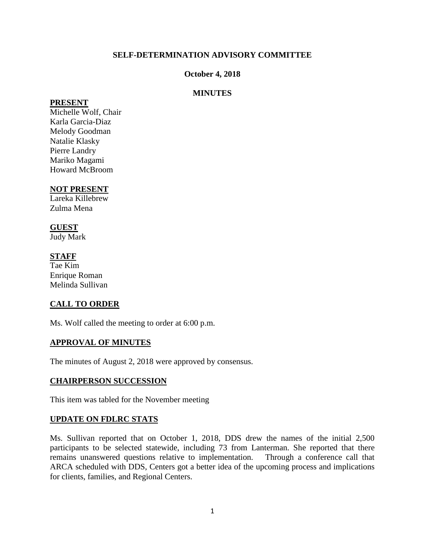## **SELF-DETERMINATION ADVISORY COMMITTEE**

### **October 4, 2018**

### **MINUTES**

#### **PRESENT**

Michelle Wolf, Chair Karla Garcia-Diaz Melody Goodman Natalie Klasky Pierre Landry Mariko Magami Howard McBroom

#### **NOT PRESENT**

Lareka Killebrew Zulma Mena

#### **GUEST**

Judy Mark

### **STAFF**

Tae Kim Enrique Roman Melinda Sullivan

### **CALL TO ORDER**

Ms. Wolf called the meeting to order at 6:00 p.m.

#### **APPROVAL OF MINUTES**

The minutes of August 2, 2018 were approved by consensus.

### **CHAIRPERSON SUCCESSION**

This item was tabled for the November meeting

### **UPDATE ON FDLRC STATS**

Ms. Sullivan reported that on October 1, 2018, DDS drew the names of the initial 2,500 participants to be selected statewide, including 73 from Lanterman. She reported that there remains unanswered questions relative to implementation. Through a conference call that ARCA scheduled with DDS, Centers got a better idea of the upcoming process and implications for clients, families, and Regional Centers.